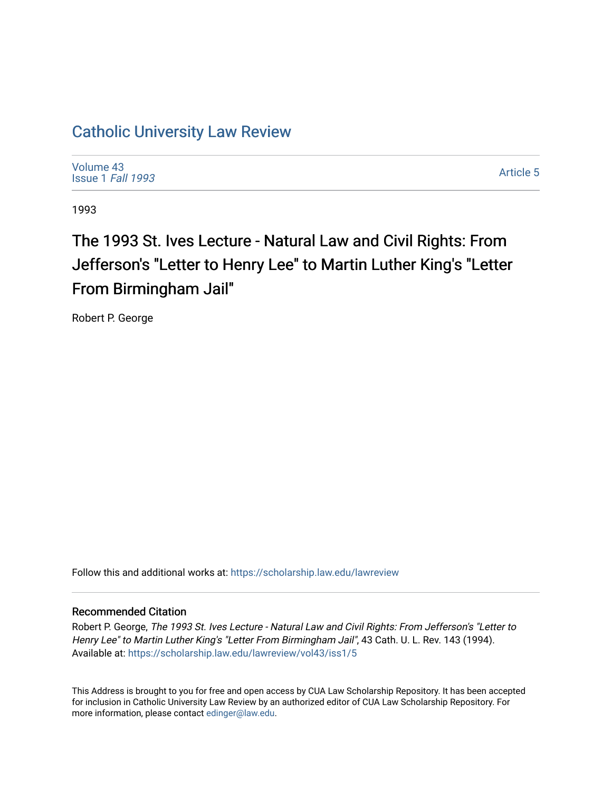# [Catholic University Law Review](https://scholarship.law.edu/lawreview)

[Volume 43](https://scholarship.law.edu/lawreview/vol43) [Issue 1](https://scholarship.law.edu/lawreview/vol43/iss1) Fall 1993

[Article 5](https://scholarship.law.edu/lawreview/vol43/iss1/5) 

1993

# The 1993 St. Ives Lecture - Natural Law and Civil Rights: From Jefferson's "Letter to Henry Lee" to Martin Luther King's "Letter From Birmingham Jail"

Robert P. George

Follow this and additional works at: [https://scholarship.law.edu/lawreview](https://scholarship.law.edu/lawreview?utm_source=scholarship.law.edu%2Flawreview%2Fvol43%2Fiss1%2F5&utm_medium=PDF&utm_campaign=PDFCoverPages)

#### Recommended Citation

Robert P. George, The 1993 St. Ives Lecture - Natural Law and Civil Rights: From Jefferson's "Letter to Henry Lee" to Martin Luther King's "Letter From Birmingham Jail", 43 Cath. U. L. Rev. 143 (1994). Available at: [https://scholarship.law.edu/lawreview/vol43/iss1/5](https://scholarship.law.edu/lawreview/vol43/iss1/5?utm_source=scholarship.law.edu%2Flawreview%2Fvol43%2Fiss1%2F5&utm_medium=PDF&utm_campaign=PDFCoverPages)

This Address is brought to you for free and open access by CUA Law Scholarship Repository. It has been accepted for inclusion in Catholic University Law Review by an authorized editor of CUA Law Scholarship Repository. For more information, please contact [edinger@law.edu.](mailto:edinger@law.edu)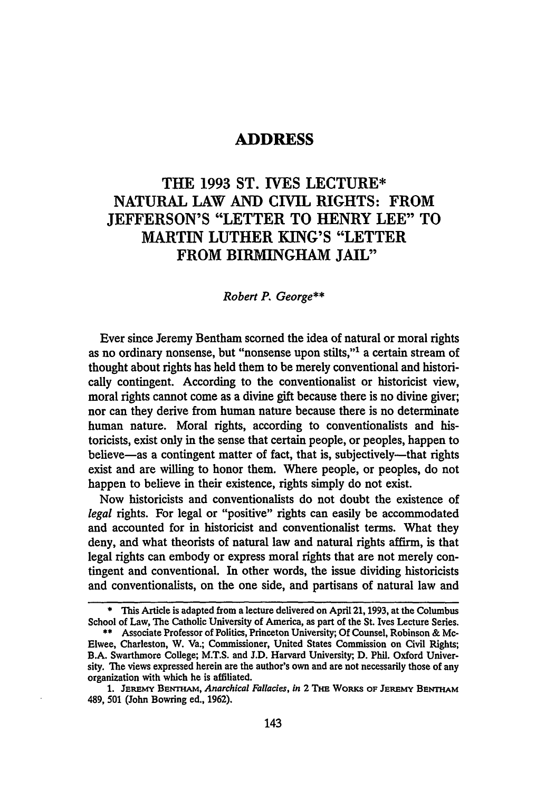### **ADDRESS**

## THE **1993 ST. IVES LECTURE\* NATURAL** LAW **AND** CIVIL RIGHTS: FROM **JEFFERSON'S** "LETTER TO HENRY **LEE"** TO MARTIN LUTHER **KING'S** "LETTER FROM BIRMINGHAM **JAIL"**

#### *Robert P. George\*\**

Ever since Jeremy Bentham scorned the idea of natural or moral rights as no ordinary nonsense, but "nonsense upon stilts,"' a certain stream of thought about rights has held them to be merely conventional and historically contingent. According to the conventionalist or historicist view, moral rights cannot come as a divine gift because there is no divine giver; nor can they derive from human nature because there is no determinate human nature. Moral rights, according to conventionalists and historicists, exist only in the sense that certain people, or peoples, happen to believe—as a contingent matter of fact, that is, subjectively—that rights exist and are willing to honor them. Where people, or peoples, do not happen to believe in their existence, rights simply do not exist.

Now historicists and conventionalists do not doubt the existence of *legal* rights. For legal or "positive" rights can easily be accommodated and accounted for in historicist and conventionalist terms. What they deny, and what theorists of natural law and natural rights affirm, is that legal rights can embody or express moral rights that are not merely contingent and conventional. In other words, the issue dividing historicists and conventionalists, on the one side, and partisans of natural law and

<sup>\*</sup> This Article is adapted from a lecture delivered on April **21, 1993,** at the Columbus School of Law, The Catholic University of America, as part of the St. Ives Lecture Series.

**<sup>\*\*</sup>** Associate Professor of Politics, Princeton University; **Of** Counsel, Robinson **&** Mc-Elwee, Charleston, W. Va.; Commissioner, United States Commission on Civil Rights; B.A. Swarthmore College; M.T.S. and **J.D.** Harvard University; **D.** Phil. Oxford University. The views expressed herein are the author's own and are not necessarily those of any organization with which he is affiliated.

<sup>1.</sup> JEREMY BENTHAM, *Anarchical Fallacies, in* 2 THE WORKS OF JEREMY BENTHAM 489, **501** (John Bowring ed., **1962).**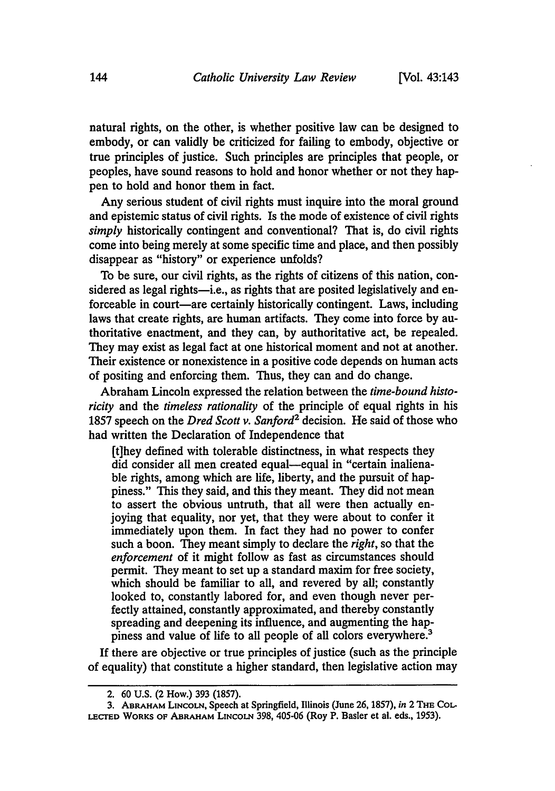natural rights, on the other, is whether positive law can be designed to embody, or can validly be criticized for failing to embody, objective or true principles of justice. Such principles are principles that people, or peoples, have sound reasons to hold and honor whether or not they happen to hold and honor them in fact.

Any serious student of civil rights must inquire into the moral ground and epistemic status of civil rights. Is the mode of existence of civil rights *simply* historically contingent and conventional? That is, do civil rights come into being merely at some specific time and place, and then possibly disappear as "history" or experience unfolds?

To be sure, our civil rights, as the rights of citizens of this nation, considered as legal rights-i.e., as rights that are posited legislatively and enforceable in court-are certainly historically contingent. Laws, including laws that create rights, are human artifacts. They come into force by authoritative enactment, and they can, by authoritative act, be repealed. They may exist as legal fact at one historical moment and not at another. Their existence or nonexistence in a positive code depends on human acts of positing and enforcing them. Thus, they can and do change.

Abraham Lincoln expressed the relation between the *time-bound historicity* and the *timeless rationality* of the principle of equal rights in his 1857 speech on the *Dred Scott v. Sanford2* decision. He said of those who had written the Declaration of Independence that

[t]hey defined with tolerable distinctness, in what respects they did consider all men created equal-equal in "certain inalienable rights, among which are life, liberty, and the pursuit of happiness." This they said, and this they meant. They did not mean to assert the obvious untruth, that all were then actually enjoying that equality, nor yet, that they were about to confer it immediately upon them. In fact they had no power to confer such a boon. They meant simply to declare the *right,* so that the *enforcement* of it might follow as fast as circumstances should permit. They meant to set up a standard maxim for free society, which should be familiar to all, and revered by all; constantly looked to, constantly labored for, and even though never perfectly attained, constantly approximated, and thereby constantly spreading and deepening its influence, and augmenting the happiness and value of life to all people of all colors everywhere?

**If** there are objective or true principles of justice (such as the principle of equality) that constitute a higher standard, then legislative action may

<sup>2. 60</sup> **U.S.** (2 How.) 393 (1857).

<sup>3.</sup> **ABRAHAM LINCOLN,** Speech at Springfield, Illinois (June 26, 1857), *in* 2 THE CoL-**LEcrED** WORKS OF ABRAHAM LINCOLN 398, 405-06 (Roy P. Basler et al. eds., 1953).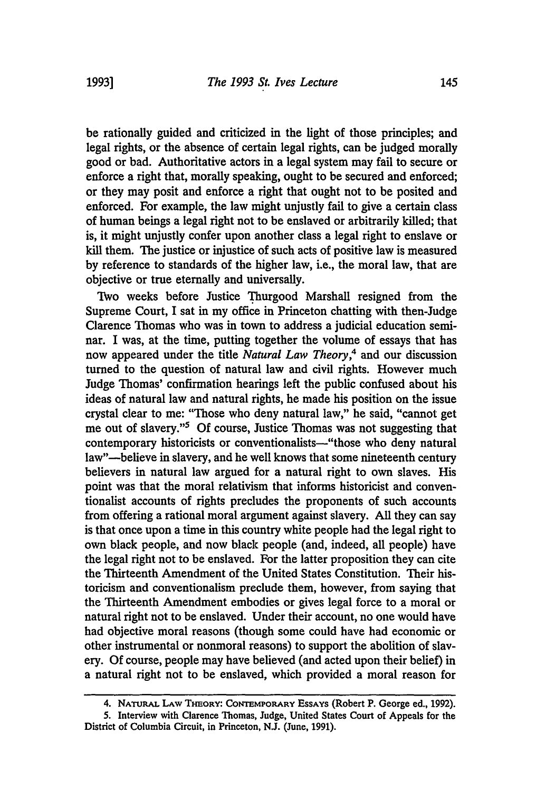be rationally guided and criticized in the light of those principles; and legal rights, or the absence of certain legal rights, can be judged morally good or bad. Authoritative actors in a legal system may fail to secure or enforce a right that, morally speaking, ought to be secured and enforced; or they may posit and enforce a right that ought not to be posited and enforced. For example, the law might unjustly fail to give a certain class of human beings a legal right not to be enslaved or arbitrarily killed; that is, it might unjustly confer upon another class a legal right to enslave or kill them. The justice or injustice of such acts of positive law is measured by reference to standards of the higher law, i.e., the moral law, that are objective or true eternally and universally.

Two weeks before Justice Thurgood Marshall resigned from the Supreme Court, I sat in my office in Princeton chatting with then-Judge Clarence Thomas who was in town to address a judicial education seminar. I was, at the time, putting together the volume of essays that has now appeared under the title *Natural Law Theory,4* and our discussion turned to the question of natural law and civil rights. However much Judge Thomas' confirmation hearings left the public confused about his ideas of natural law and natural rights, he made his position on the issue crystal clear to me: "Those who deny natural law," he said, "cannot get me out of slavery."5 Of course, Justice Thomas was not suggesting that contemporary historicists or conventionalists—"those who deny natural law"-believe in slavery, and he well knows that some nineteenth century believers in natural law argued for a natural right to own slaves. His point was that the moral relativism that informs historicist and conventionalist accounts of rights precludes the proponents of such accounts from offering a rational moral argument against slavery. All they can say is that once upon a time in this country white people had the legal right to own black people, and now black people (and, indeed, all people) have the legal right not to be enslaved. For the latter proposition they can cite the Thirteenth Amendment of the United States Constitution. Their historicism and conventionalism preclude them, however, from saying that the Thirteenth Amendment embodies or gives legal force to a moral or natural right not to be enslaved. Under their account, no one would have had objective moral reasons (though some could have had economic or other instrumental or nonmoral reasons) to support the abolition of slavery. Of course, people may have believed (and acted upon their belief) in a natural right not to be enslaved, which provided a moral reason for

<sup>4.</sup> **NATURAL LAW THEORY: CONTEMPORARY ESSAYS** (Robert P. George ed., 1992).

**<sup>5.</sup>** Interview with Clarence Thomas, Judge, United States Court of Appeals for the District of Columbia Circuit, in Princeton, **NJ.** (June, **1991).**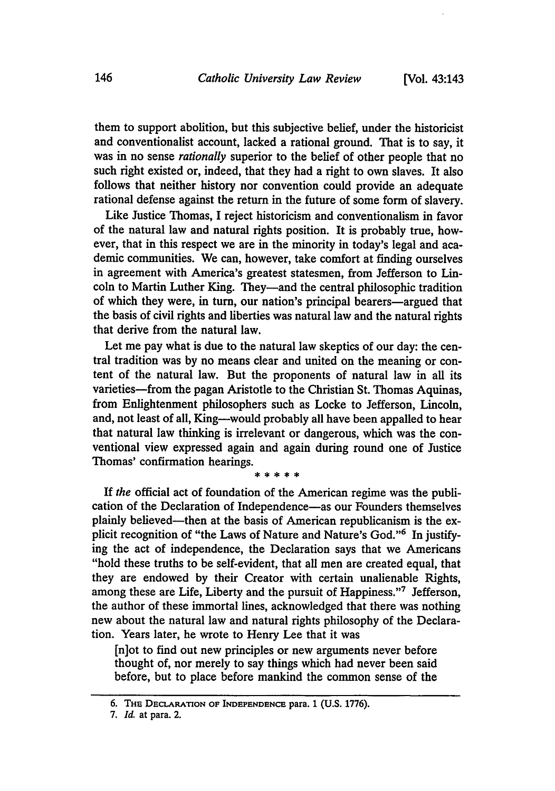them to support abolition, but this subjective belief, under the historicist and conventionalist account, lacked a rational ground. That is to say, it was in no sense *rationally* superior to the belief of other people that no such right existed or, indeed, that they had a right to own slaves. It also follows that neither history nor convention could provide an adequate rational defense against the return in the future of some form of slavery.

Like Justice Thomas, I reject historicism and conventionalism in favor of the natural law and natural rights position. It is probably true, however, that in this respect we are in the minority in today's legal and academic communities. We can, however, take comfort at finding ourselves in agreement with America's greatest statesmen, from Jefferson to Lincoln to Martin Luther King. They-and the central philosophic tradition of which they were, in turn, our nation's principal bearers—argued that the basis of civil rights and liberties was natural law and the natural rights that derive from the natural law.

Let me pay what is due to the natural law skeptics of our day: the central tradition was by no means clear and united on the meaning or content of the natural law. But the proponents of natural law in all its varieties-from the pagan Aristotle to the Christian St. Thomas Aquinas, from Enlightenment philosophers such as Locke to Jefferson, Lincoln, and, not least of all, King-would probably all have been appalled to hear that natural law thinking is irrelevant or dangerous, which was the conventional view expressed again and again during round one of Justice Thomas' confirmation hearings.

**If** *the* official act of foundation of the American regime was the publication of the Declaration of Independence-as our Founders themselves plainly believed—then at the basis of American republicanism is the explicit recognition of "the Laws of Nature and Nature's God."6 In justifying the act of independence, the Declaration says that we Americans "hold these truths to be self-evident, that all men are created equal, that they are endowed **by** their Creator with certain unalienable Rights, among these are Life, Liberty and the pursuit of Happiness."7 Jefferson, the author of these immortal lines, acknowledged that there was nothing new about the natural law and natural rights philosophy of the Declaration. Years later, he wrote to Henry Lee that it was

[n]ot to find out new principles or new arguments never before thought of, nor merely to say things which had never been said before, but to place before mankind the common sense of the

**<sup>6.</sup> THE DECLARATION OF INDEPENDENCE para. 1 (U.S. 1776).**

*<sup>7.</sup> Id.* at para. 2.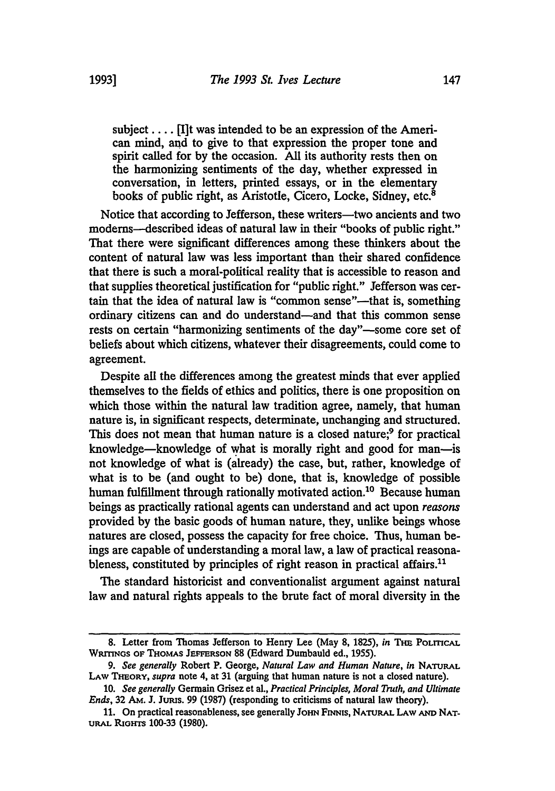subject .... [I]t was intended to be an expression of the American mind, and to give to that expression the proper tone and spirit called for by the occasion. **All** its authority rests then on the harmonizing sentiments of the day, whether expressed in conversation, in letters, printed essays, or in the elementary books of public right, as Aristotle, Cicero, Locke, Sidney, etc.<sup>8</sup>

Notice that according to Jefferson, these writers-two ancients and two modems-described ideas of natural law in their "books of public right." That there were significant differences among these thinkers about the content of natural law was less important than their shared confidence that there is such a moral-political reality that is accessible to reason and that supplies theoretical justification for "public right." Jefferson was certain that the idea of natural law is "common sense"—that is, something ordinary citizens can and do understand-and that this common sense rests on certain "harmonizing sentiments of the day"—some core set of beliefs about which citizens, whatever their disagreements, could come to agreement.

Despite all the differences among the greatest minds that ever applied themselves to the fields of ethics and politics, there is one proposition on which those within the natural law tradition agree, namely, that human nature is, in significant respects, determinate, unchanging and structured. This does not mean that human nature is a closed nature;<sup>9</sup> for practical knowledge-knowledge of what is morally right and good for man-is not knowledge of what is (already) the case, but, rather, knowledge of what is to be (and ought to be) done, that is, knowledge of possible human fulfillment through rationally motivated action.<sup>10</sup> Because human beings as practically rational agents can understand and act upon *reasons* provided by the basic goods of human nature, they, unlike beings whose natures are closed, possess the capacity for free choice. Thus, human beings are capable of understanding a moral law, a law of practical reasonableness, constituted by principles of right reason in practical affairs. $11$ 

The standard historicist and conventionalist argument against natural law and natural rights appeals to the brute fact of moral diversity in the

<sup>8.</sup> Letter from Thomas Jefferson to Henry Lee (May 8, 1825), *in* THE POLITICAL **WRmNGs** OF THoMAs **JEPFERSON 88** (Edward Dumbauld ed., **1955).**

*<sup>9.</sup> See generally* Robert P. George, *Natural Law and Human Nature, in* NATURAL **LAW THEoRY,** *supra* note 4, at **31** (arguing that human nature is not a closed nature).

**<sup>10.</sup>** *See generally* Germain Grisez et al., *Practical Principles, Moral Truth, and Ultimate Ends,* **32** AM. **J.** Jums. **99 (1987)** (responding to criticisms of natural law theory).

<sup>11.</sup> On practical reasonableness, see generally JOHN FINNIS, NATURAL LAW AND NAT-URAL **RIGHTS** 100-33 (1980).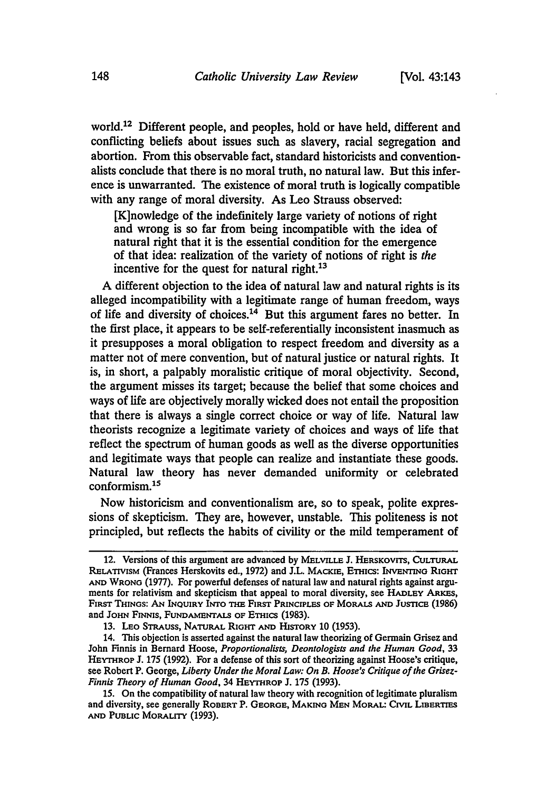world.12 Different people, and peoples, hold or have held, different and conflicting beliefs about issues such as slavery, racial segregation and abortion. From this observable fact, standard historicists and conventionalists conclude that there is no moral truth, no natural law. But this inference is unwarranted. The existence of moral truth is logically compatible with any range of moral diversity. As Leo Strauss observed:

[K]nowledge of the indefinitely large variety of notions of right and wrong is so far from being incompatible with the idea of natural right that it is the essential condition for the emergence of that idea: realization of the variety of notions of right is *the* incentive for the quest for natural right.<sup>13</sup>

**A** different objection to the idea of natural law and natural rights is its alleged incompatibility with a legitimate range of human freedom, ways of life and diversity of choices.<sup>14</sup> But this argument fares no better. In the first place, it appears to be self-referentially inconsistent inasmuch as it presupposes a moral obligation to respect freedom and diversity as a matter not of mere convention, but of natural justice or natural rights. It is, in short, a palpably moralistic critique of moral objectivity. Second, the argument misses its target; because the belief that some choices and ways of life are objectively morally wicked does not entail the proposition that there is always a single correct choice or way of life. Natural law theorists recognize a legitimate variety of choices and ways of life that reflect the spectrum of human goods as well as the diverse opportunities and legitimate ways that people can realize and instantiate these goods. Natural law theory has never demanded uniformity or celebrated conformism.<sup>15</sup>

Now historicism and conventionalism are, so to speak, polite expressions of skepticism. They are, however, unstable. This politeness is not principled, but reflects the habits of civility or the mild temperament of

<sup>12.</sup> Versions of this argument are advanced **by** MELVILLE **J.** HERSKOVrrs, CULTURAL RELATIVISM (Frances Herskovits ed., 1972) and J.L. MACKIE, ETHICS: INVENTING RIGHT AND WRONG (1977). For powerful defenses of natural law and natural rights against arguments for relativism and skepticism that appeal to moral diversity, see HADLEY ARES, FIRST THINGS: AN INQUIRY INTO **THE** FIRST PRINCIPLES OF **MORALS AND** JusmicE **(1986)** and JOHN FINNIS, FUNDAMENTALS OF ETHICS (1983).

<sup>13.</sup> LEO STRAUSS, NATURAL RIGHT **AND** HISTORY **10 (1953).**

<sup>14.</sup> This objection is asserted against the natural law theorizing of Germain Grisez and John Finnis in Bernard Hoose, *Proportionalists, Deontologists and the Human Good,* **33** HEYTHROP J. **175** (1992). For a defense of this sort of theorizing against Hoose's critique, see Robert P. George, *Liberty Under the Moral Law: On B. Hoose's Critique of the Grisez-Finnis Theory of Human Good,* 34 HEYTROP J. **175** (1993).

**<sup>15.</sup>** On the compatibility of natural law theory with recognition of legitimate pluralism and diversity, see generally ROBERT P. GEORGE, MAKING MEN MORAL: CIVIL LIBERTIES **AND PUBLIC** MORALITY **(1993).**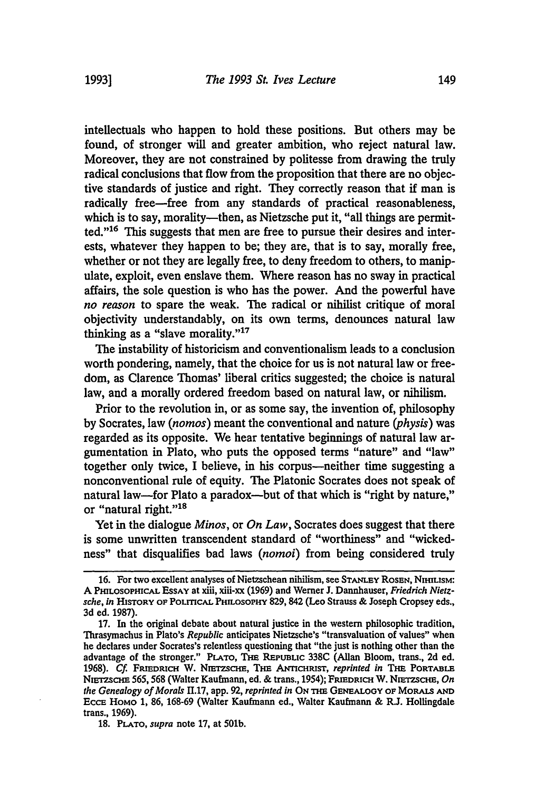intellectuals who happen to hold these positions. But others may be found, of stronger will and greater ambition, who reject natural law. Moreover, they are not constrained by politesse from drawing the truly radical conclusions that flow from the proposition that there are no objective standards of justice and right. They correctly reason that if man is radically free-free from any standards of practical reasonableness, which is to say, morality-then, as Nietzsche put it, "all things are permitted."16 This suggests that men are free to pursue their desires and interests, whatever they happen to be; they are, that is to say, morally free, whether or not they are legally free, to deny freedom to others, to manipulate, exploit, even enslave them. Where reason has no sway in practical affairs, the sole question is who has the power. And the powerful have *no reason* to spare the weak. The radical or nihilist critique of moral objectivity understandably, on its own terms, denounces natural law thinking as a "slave morality." $17$ 

The instability of historicism and conventionalism leads to a conclusion worth pondering, namely, that the choice for us is not natural law or freedom, as Clarence Thomas' liberal critics suggested; the choice is natural law, and a morally ordered freedom based on natural law, or nihilism.

Prior to the revolution in, or as some say, the invention of, philosophy by Socrates, law *(nomos)* meant the conventional and nature *(physis)* was regarded as its opposite. We hear tentative beginnings of natural law argumentation in Plato, who puts the opposed terms "nature" and "law" together only twice, I believe, in his corpus-neither time suggesting a nonconventional rule of equity. The Platonic Socrates does not speak of natural law—for Plato a paradox—but of that which is "right by nature," or "natural right."<sup>18</sup>

Yet in the dialogue *Minos,* or *On Law,* Socrates does suggest that there is some unwritten transcendent standard of "worthiness" and "wickedness" that disqualifies bad laws *(nomoi)* from being considered truly

**18. PLATO,** *supra* **note** 17, at 501b.

**<sup>16.</sup>** For two excellent analyses of Nietzschean nihilism, see **STAmEY ROSEN, NIHILISM: A PILOsoPHIcAL EssAy** at xiii, xiii-xx (1969) and Werner J. Dannhauser, *Friedrich Nietzsche,* ln **HISTORY** OF **POLrrcAL PHILosoPHY** 829, 842 (Leo Strauss & Joseph Cropsey eds., 3d ed. 1987).

<sup>17.</sup> In the original debate about natural justice in the western philosophic tradition, Thrasymachus in Plato's *Republic* anticipates Nietzsche's "transvaluation of values" when he declares under Socrates's relentless questioning that "the just is nothing other than the advantage of the stronger." **PLATO, TmE REPUBLIC 338C** (Allan Bloom, trans., **2d** ed. 1968). Cf. FRIEDRICH W. NIETZSCHE, THE ANTICHRIST, *reprinted in* THE PORTABLE **NmZmCHE** 565,568 (Walter Kaufmann, ed. & trans., 1954); **FRIEDRICH** W. **NIrEzscHn,** *On the Genealogy of Morals* **H.17,** app. 92, *reprinted in ON* **THm GENEALOOY OF MoRALSAN EccE** HoMo 1, **86,** 168-69 (Walter Kaufmann ed., Walter Kaufmann & R.J. Hollingdale trans., 1969).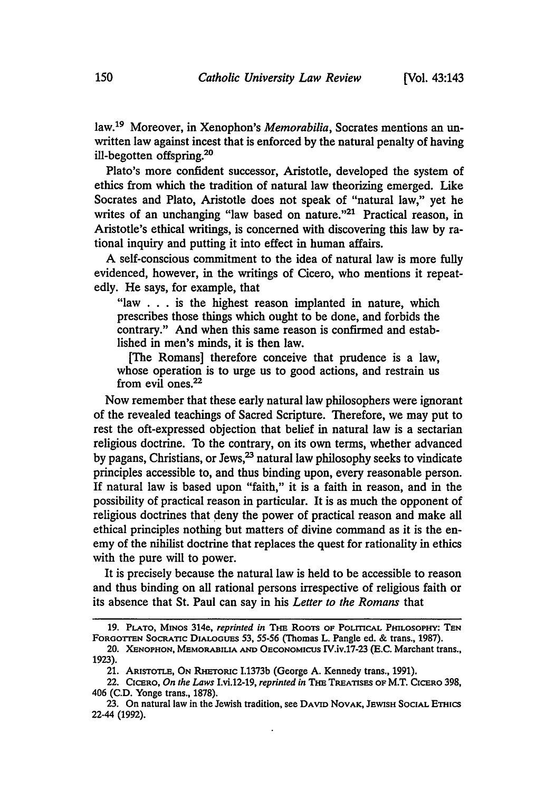law.<sup>19</sup> Moreover, in Xenophon's *Memorabilia*, Socrates mentions an unwritten law against incest that is enforced **by** the natural penalty of having ill-begotten offspring.20

Plato's more confident successor, Aristotle, developed the system of ethics from which the tradition of natural law theorizing emerged. Like Socrates and Plato, Aristotle does not speak of "natural law," yet he writes of an unchanging "law based on nature."<sup>21</sup> Practical reason, in Aristotle's ethical writings, is concerned with discovering this law **by** rational inquiry and putting it into effect in human affairs.

**A** self-conscious commitment to the idea of natural law is more **fully** evidenced, however, in the writings of Cicero, who mentions it repeatedly. He says, for example, that

"law **. ..** is the highest reason implanted in nature, which prescribes those things which ought to be done, and forbids the contrary." And when this same reason is confirmed and established in men's minds, it is then law.

[The Romans] therefore conceive that prudence is a law, whose operation is to urge us to good actions, and restrain us from evil ones.22

Now remember that these early natural law philosophers were ignorant of the revealed teachings of Sacred Scripture. Therefore, we may put to rest the oft-expressed objection that belief in natural law is a sectarian religious doctrine. To the contrary, on its own terms, whether advanced by pagans, Christians, or Jews,<sup>23</sup> natural law philosophy seeks to vindicate principles accessible to, and thus binding upon, every reasonable person. If natural law is based upon "faith," it is a faith in reason, and in the possibility of practical reason in particular. It is as much the opponent of religious doctrines that deny the power of practical reason and make all ethical principles nothing but matters of divine command as it is the enemy of the nihilist doctrine that replaces the quest for rationality in ethics with the pure will to power.

It is precisely because the natural law is held to be accessible to reason and thus binding on all rational persons irrespective of religious faith or its absence that St. Paul can say in his *Letter to the Romans* that

**<sup>19.</sup>** PLATO, MINOs 314e, *reprinted in* THE RooTs **OF POLITICAL** PHILOSOPHY: **TEN** FORGOTrEN SocRATIc DIALOGUES *53,* 55-56 (Thomas L. Pangle ed. & trans., **1987).**

<sup>20.</sup> **XENOPHON, MEMORABILIA AND** OECONOMICUS IV.iv.17-23 (E.C. Marchant trans., **1923).**

<sup>21.</sup> ARISTOTLE, ON RHETORIC **1.1373b** (George A. Kennedy trans., 1991).

<sup>22.</sup> CICERO, *On the Laws* I.vi.12-19, *reprinted in* THE **TREATISES OF** M.T. **CICERO 398,** 406 (C.D. Yonge trans., 1878).

**<sup>23.</sup>** On natural law in the Jewish tradition, see **DAVID NOVAK, JEWISH** SOCIAL ETHICS 22-44 (1992).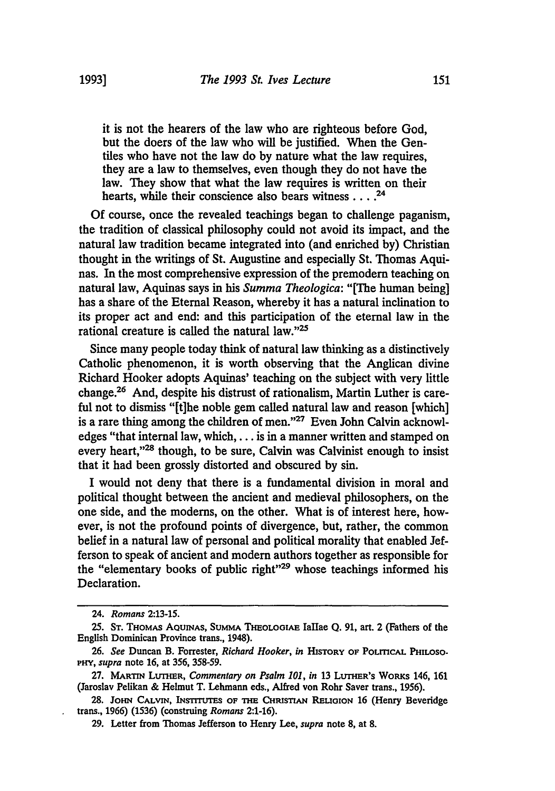it is not the hearers of the law who are righteous before God, but the doers of the law who will be justified. When the Gentiles who have not the law do by nature what the law requires, they are a law to themselves, even though they do not have the law. They show that what the law requires is written on their hearts, while their conscience also bears witness **....** <sup>24</sup>

**Of** course, once the revealed teachings began to challenge paganism, the tradition of classical philosophy could not avoid its impact, and the natural law tradition became integrated into (and enriched by) Christian thought in the writings of St. Augustine and especially St. Thomas Aquinas. In the most comprehensive expression of the premodern teaching on natural law, Aquinas says in his *Summa Theologica:* "[The human being] has a share of the Eternal Reason, whereby it has a natural inclination to its proper act and end: and this participation of the eternal law in the rational creature is called the natural law." $25$ 

Since many people today think of natural law thinking as a distinctively Catholic phenomenon, it is worth observing that the Anglican divine Richard Hooker adopts Aquinas' teaching on the subject with very little change.26 And, despite his distrust of rationalism, Martin Luther is careful not to dismiss "[t]he noble gem called natural law and reason [which] is a rare thing among the children of men."27 Even John Calvin acknowledges "that internal law, which,.., is in a manner written and stamped on every heart,"<sup>28</sup> though, to be sure, Calvin was Calvinist enough to insist that it had been grossly distorted and obscured by sin.

I would not deny that there is a fundamental division in moral and political thought between the ancient and medieval philosophers, on the one side, and the moderns, on the other. What is of interest here, however, is not the profound points of divergence, but, rather, the common belief in a natural law of personal and political morality that enabled Jefferson to speak of ancient and modern authors together as responsible for the "elementary books of public right"<sup>29</sup> whose teachings informed his Declaration.

<sup>24.</sup> *Romans* **2:13-15.**

**<sup>25.</sup> ST. THOMAS AQUINAS, SUMMA THEOLOGIAE** IaIlae **Q. 91,** art. 2 (Fathers of the English Dominican Province trans., 1948).

**<sup>26.</sup>** *See* Duncan B. Forrester, *Richard Hooker, in* **HISTORY** OF POLMCAL **PHILOSO.** *PHY, supra* note **16,** at **356, 358-59.**

**<sup>27.</sup>** MARTIN LurHnR, *Commentary on Psalm 101, in* **13** *LurHER'S* **WoRKs** 146, 161 (Jaroslav Pelikan & Helmut T. Lehmann eds., Alfred von Rohr Saver trans., **1956).**

**<sup>28.</sup>** JOHN **CALvIN, INSTIuTEs OF THE CHRiSTIAN RELiGION 16** (Henry Beveridge trans., 1966) (1536) (construing *Romans* 2:1-16).

**<sup>29.</sup>** Letter from Thomas Jefferson to Henry Lee, *supra* note **8,** at **8.**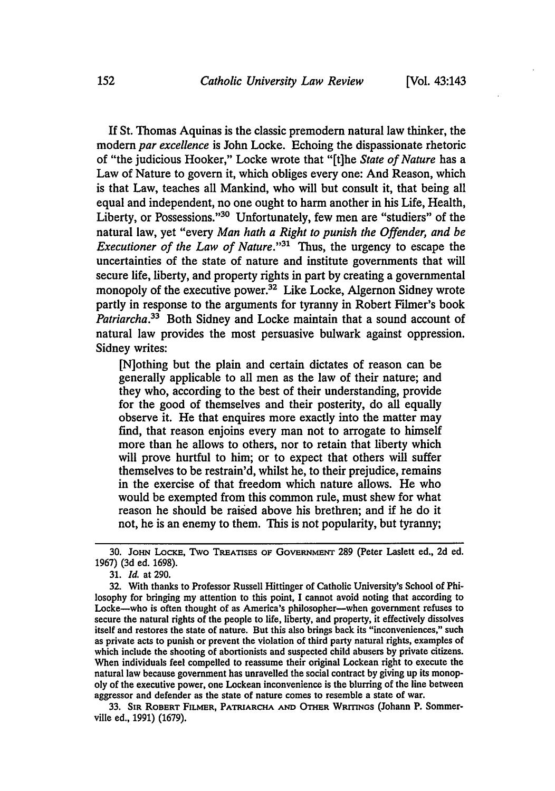If St. Thomas Aquinas is the classic premodern natural law thinker, the modem *par excellence* is John Locke. Echoing the dispassionate rhetoric of "the judicious Hooker," Locke wrote that "[t]he *State of Nature* has a Law of Nature to govern it, which obliges every one: And Reason, which is that Law, teaches all Mankind, who will but consult it, that being all equal and independent, no one ought to harm another in his Life, Health, Liberty, or Possessions."<sup>30</sup> Unfortunately, few men are "studiers" of the natural law, yet "every *Man hath a Right to punish the Offender, and be Executioner of the Law of Nature.*"<sup>31</sup> Thus, the urgency to escape the uncertainties of the state of nature and institute governments that will secure life, liberty, and property rights in part by creating a governmental monopoly of the executive power.<sup>32</sup> Like Locke, Algernon Sidney wrote partly in response to the arguments for tyranny in Robert Filmer's book Patriarcha.<sup>33</sup> Both Sidney and Locke maintain that a sound account of natural law provides the most persuasive bulwark against oppression. Sidney writes:

[N]othing but the plain and certain dictates of reason can be generally applicable to all men as the law of their nature; and they who, according to the best of their understanding, provide for the good of themselves and their posterity, do all equally observe it. He that enquires more exactly into the matter may find, that reason enjoins every man not to arrogate to himself more than he allows to others, nor to retain that liberty which will prove hurtful to him; or to expect that others will suffer themselves to be restrain'd, whilst he, to their prejudice, remains in the exercise of that freedom which nature allows. He who would be exempted from this common rule, must shew for what reason he should be raised above his brethren; and if he do it not, he is an enemy to them. This is not popularity, but tyranny;

33. **SIR ROBERT FILMER, PATRIARCHA AND OTHER WRITINGS** (Johann P. Sommerville ed., **1991) (1679).**

**<sup>30.</sup>** JoHN **LocKE,** Two **TREATISES OF GovERNmENT 289** (Peter Laslett ed., **2d** ed. 1967) (3d ed. 1698).

<sup>31.</sup> *Id.* at 290.

<sup>32.</sup> With thanks to Professor Russell Hittinger of Catholic University's School of Philosophy for bringing my attention to this point, I cannot avoid noting that according to Locke-who is often thought of as America's philosopher-when government refuses to secure the natural rights of the people to life, liberty, and property, it effectively dissolves itself and restores the state of nature. But this also brings back its "inconveniences," such as private acts to punish or prevent the violation of third party natural rights, examples of which include the shooting of abortionists and suspected child abusers by private citizens. When individuals feel compelled to reassume their original Lockean right to execute the natural law because government has unravelled the social contract **by** giving up its monopoly of the executive power, one Lockean inconvenience is the blurring of the line between aggressor and defender as the state of nature comes to resemble a state of war.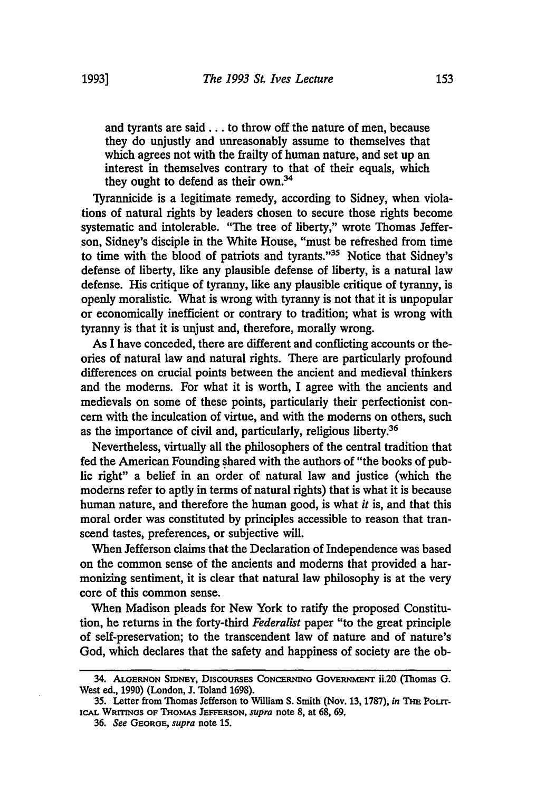and tyrants are said.., to throw off the nature of men, because they do unjustly and unreasonably assume to themselves that which agrees not with the frailty of human nature, and set up an interest in themselves contrary to that of their equals, which they ought to defend as their own.<sup>34</sup>

Tyrannicide is a legitimate remedy, according to Sidney, when violations of natural rights by leaders chosen to secure those rights become systematic and intolerable. "The tree of liberty," wrote Thomas Jefferson, Sidney's disciple in the White House, "must be refreshed from time to time with the blood of patriots and tyrants."35 Notice that Sidney's defense of liberty, like any plausible defense of liberty, is a natural law defense. His critique of tyranny, like any plausible critique of tyranny, is openly moralistic. What is wrong with tyranny is not that it is unpopular or economically inefficient or contrary to tradition; what is wrong with tyranny is that it is unjust and, therefore, morally wrong.

As I have conceded, there are different and conflicting accounts or theories of natural law and natural rights. There are particularly profound differences on crucial points between the ancient and medieval thinkers and the modems. For what it is worth, I agree with the ancients and medievals on some of these points, particularly their perfectionist concern with the inculcation of virtue, and with the modems on others, such as the importance of civil and, particularly, religious liberty.<sup>36</sup>

Nevertheless, virtually all the philosophers of the central tradition that fed the American Founding shared with the authors of "the books of public right" a belief in an order of natural law and justice (which the moderns refer to aptly in terms of natural rights) that is what it is because human nature, and therefore the human good, is what *it* is, and that this moral order was constituted by principles accessible to reason that transcend tastes, preferences, or subjective will.

When Jefferson claims that the Declaration of Independence was based on the common sense of the ancients and modems that provided a harmonizing sentiment, it is clear that natural law philosophy is at the very core of this common sense.

When Madison pleads for New York to ratify the proposed Constitution, he returns in the forty-third *Federalist* paper "to the great principle of self-preservation; to the transcendent law of nature and of nature's God, which declares that the safety and happiness of society are the ob-

<sup>34.</sup> **ALGERNON** SIDNEY, DiscousEs **CoNclrmo** GovE **RNimENT** ii.20 (Thomas **G.** West ed., 1990) (London, J. Toland 1698).

**<sup>35.</sup>** Letter from Thomas Jefferson to William **S.** Smith (Nov. **13,** 1787), *in* THm Pourr**iCM. WRITNGs** OF THoMAs **JEFFERSON,** *supra* note **8,** at 68, 69.

**<sup>36.</sup>** *See* **GEORGE,** *supra* note 15.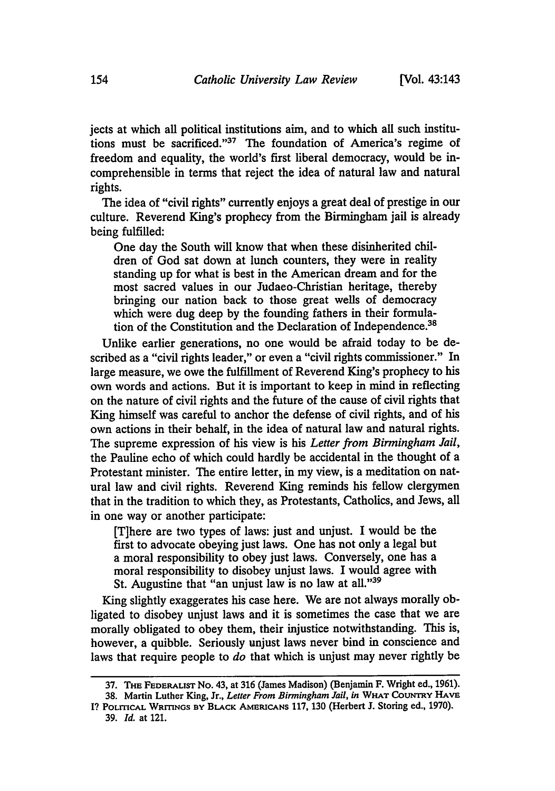jects at which all political institutions aim, and to which all such institutions must be sacrificed."37 The foundation of America's regime of freedom and equality, the world's first liberal democracy, would be **in**comprehensible in terms that reject the idea of natural law and natural rights.

The idea of "civil rights" currently enjoys a great deal of prestige in our culture. Reverend King's prophecy from the Birmingham jail is already being fulfilled:

One day the South will know that when these disinherited children of God sat down at lunch counters, they were in reality standing up for what is best in the American dream and for the most sacred values in our Judaeo-Christian heritage, thereby bringing our nation back to those great wells of democracy which were dug deep by the founding fathers in their formulation of the Constitution and the Declaration of Independence.<sup>38</sup>

Unlike earlier generations, no one would be afraid today to be described as a "civil rights leader," or even a "civil rights commissioner." In large measure, we owe the fulfillment of Reverend King's prophecy to his own words and actions. But it is important to keep in mind in reflecting on the nature of civil rights and the future of the cause of civil rights that King himself was careful to anchor the defense of civil rights, and of his own actions in their behalf, in the idea of natural law and natural rights. The supreme expression of his view is his *Letter from Birmingham Jail,* the Pauline echo of which could hardly be accidental in the thought of a Protestant minister. The entire letter, in my view, is a meditation on natural law and civil rights. Reverend King reminds his fellow clergymen that in the tradition to which they, as Protestants, Catholics, and Jews, all in one way or another participate:

[T]here are two types of laws: just and unjust. I would be the first to advocate obeying just laws. One has not only a legal but a moral responsibility to obey just laws. Conversely, one has a moral responsibility to disobey unjust laws. I would agree with St. Augustine that "an unjust law is no law at all."<sup>39</sup>

King slightly exaggerates his case here. We are not always morally obligated to disobey unjust laws and it is sometimes the case that we are morally obligated to obey them, their injustice notwithstanding. This is, however, a quibble. Seriously unjust laws never bind in conscience and laws that require people to *do* that which is unjust may never rightly be

**<sup>37.</sup> THE** FEDERALIST No. 43, at **316** (James Madison) (Benjamin F. Wright ed., **1961). 38.** Martin Luther King, Jr., *Letter From Birmingham Jail, in* **WHAT COUNTRY** HAVE

**I? POLmCAL WRITINGS BY** BLACK AMERICANS **117, 130** (Herbert **J.** Storing ed., **1970). 39.** *Id.* at 121.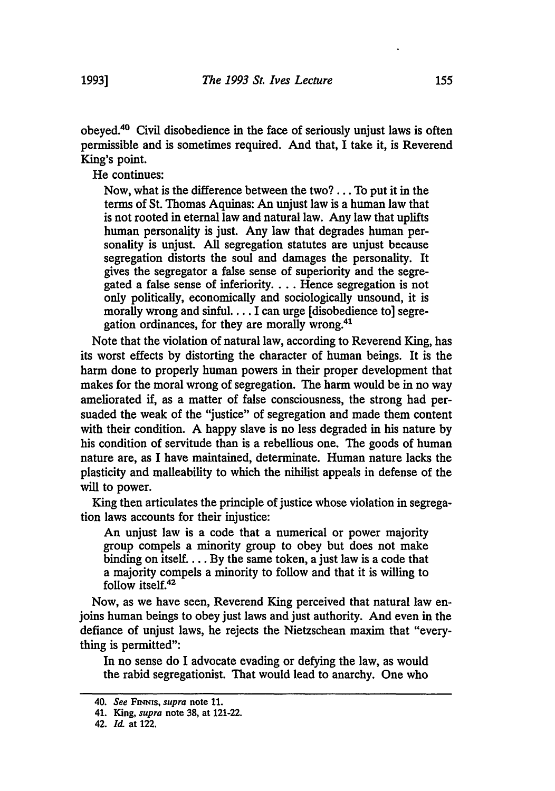obeyed.40 Civil disobedience in the face of seriously unjust laws is often permissible and is sometimes requited. And that, **I** take it, is Reverend King's point.

He continues:

Now, what is the difference between the two? **...** To put it in the terms of St. Thomas Aquinas: An unjust law is a human law that is not rooted in eternal law and natural law. Any law that uplifts human personality is just. Any law that degrades human personality is unjust. **All** segregation statutes are unjust because segregation distorts the soul and damages the personality. It gives the segregator a false sense of superiority and the segregated a false sense of inferiority **....** Hence segregation is not only politically, economically and sociologically unsound, it is morally wrong and sinful.... I can urge [disobedience to] segregation ordinances, for they are morally wrong.41

Note that the violation of natural law, according to Reverend King, has its worst effects **by** distorting the character of human beings. It is the harm done to properly human powers in their proper development that makes for the moral wrong of segregation. The harm would be in no way ameliorated if, as a matter of false consciousness, the strong had persuaded the weak of the "justice" of segregation and made them content with their condition. **A** happy slave is no less degraded in his nature **by** his condition of servitude than is a rebellious one. The goods of human nature are, as **I** have maintained, determinate. Human nature lacks the plasticity and malleability to which the nihilist appeals in defense of the will to power.

King then articulates the principle of justice whose violation in segregation laws accounts for their injustice:

An unjust law is a code that a numerical or power majority group compels a minority group to obey but does not make binding on **itself.... By** the same token, a just law is a code that a majority compels a minority to follow and that it is willing to follow itself.42

Now, as we have seen, Reverend King perceived that natural law enjoins human beings to obey just laws and just authority. And even in the defiance of unjust laws, he rejects the Nietzschean maxim that "everything is permitted":

In no sense do **I** advocate evading or defying the law, as would the rabid segregationist. That would lead to anarchy. One who

<sup>40.</sup> See FINNIS, supra note 11.

<sup>41.</sup> King, *supra* note **38,** at 121-22.

<sup>42.</sup> *Id* at 122.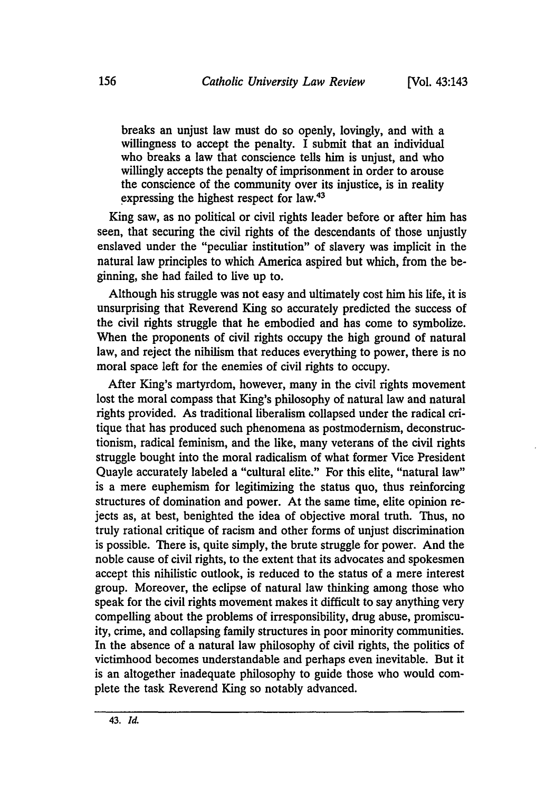breaks an unjust law must do so openly, lovingly, and with a willingness to accept the penalty. I submit that an individual who breaks a law that conscience tells him is unjust, and who willingly accepts the penalty of imprisonment in order to arouse the conscience of the community over its injustice, is in reality expressing the highest respect for law.<sup>43</sup>

King saw, as no political or civil rights leader before or after him has seen, that securing the civil rights of the descendants of those unjustly enslaved under the "peculiar institution" of slavery was implicit in the natural law principles to which America aspired but which, from the beginning, she had failed to live up to.

Although his struggle was not easy and ultimately cost him his life, it is unsurprising that Reverend King so accurately predicted the success of the civil rights struggle that he embodied and has come to symbolize. When the proponents of civil rights occupy the high ground of natural law, and reject the nihilism that reduces everything to power, there is no moral space left for the enemies of civil rights to occupy.

After King's martyrdom, however, many in the civil rights movement lost the moral compass that King's philosophy of natural law and natural rights provided. As traditional liberalism collapsed under the radical critique that has produced such phenomena as postmodernism, deconstructionism, radical feminism, and the like, many veterans of the civil rights struggle bought into the moral radicalism of what former Vice President Quayle accurately labeled a "cultural elite." For this elite, "natural law" is a mere euphemism for legitimizing the status quo, thus reinforcing structures of domination and power. At the same time, elite opinion rejects as, at best, benighted the idea of objective moral truth. Thus, no truly rational critique of racism and other forms of unjust discrimination is possible. There is, quite simply, the brute struggle for power. And the noble cause of civil rights, to the extent that its advocates and spokesmen accept this nihilistic outlook, is reduced to the status of a mere interest group. Moreover, the eclipse of natural law thinking among those who speak for the civil rights movement makes it difficult to say anything very compelling about the problems of irresponsibility, drug abuse, promiscuity, crime, and collapsing family structures in poor minority communities. In the absence of a natural law philosophy of civil rights, the politics of victimhood becomes understandable and perhaps even inevitable. But it is an altogether inadequate philosophy to guide those who would complete the task Reverend King so notably advanced.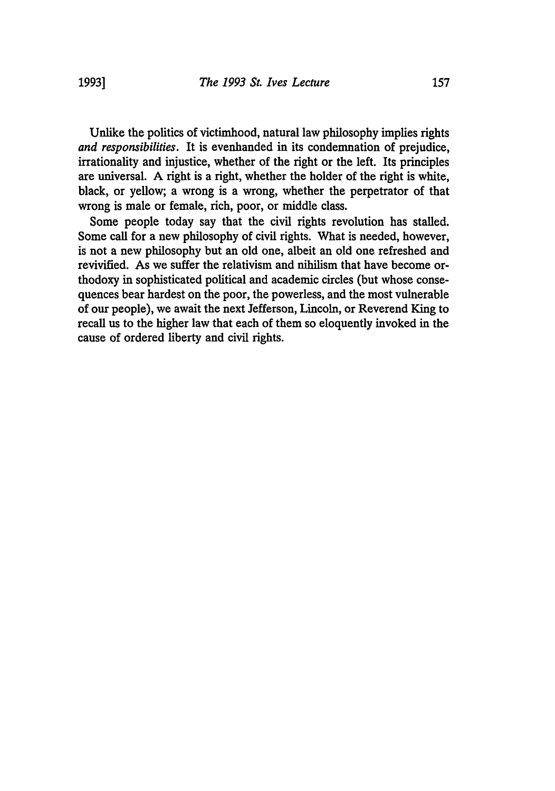Unlike the politics of victimhood, natural law philosophy implies rights *and responsibilities.* It is evenhanded in its condemnation of prejudice, irrationality and injustice, whether of the right or the left. Its principles are universal. A right is a right, whether the holder of the right is white, black, or yellow; a wrong is a wrong, whether the perpetrator of that wrong is male or female, rich, poor, or middle class.

Some people today say that the civil rights revolution has stalled. Some call for a new philosophy of civil rights. What is needed, however, is not a new philosophy but an old one, albeit an old one refreshed and revivified. As we suffer the relativism and nihilism that have become orthodoxy in sophisticated political and academic circles (but whose consequences bear hardest on the poor, the powerless, and the most vulnerable of our people), we await the next Jefferson, Lincoln, or Reverend King to recall us to the higher law that each of them so eloquently invoked in the cause of ordered liberty and civil rights.